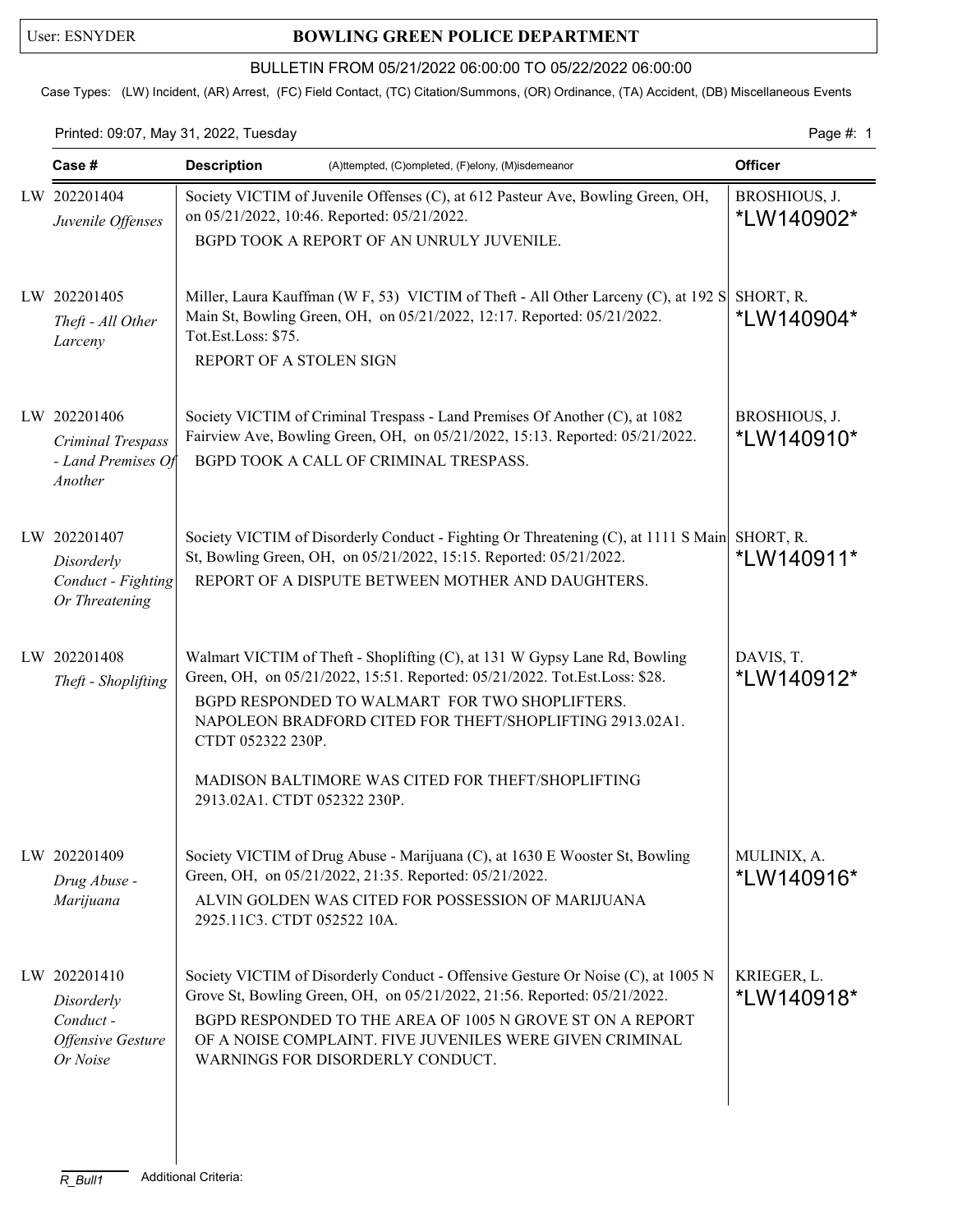## User: ESNYDER **BOWLING GREEN POLICE DEPARTMENT**

## BULLETIN FROM 05/21/2022 06:00:00 TO 05/22/2022 06:00:00

Case Types: (LW) Incident, (AR) Arrest, (FC) Field Contact, (TC) Citation/Summons, (OR) Ordinance, (TA) Accident, (DB) Miscellaneous Events

Printed: 09:07, May 31, 2022, Tuesday Page #: 1

| Case #                                                                          | <b>Description</b><br>(A)ttempted, (C)ompleted, (F)elony, (M)isdemeanor                                                                                                                                                                                                                                                                                                          | <b>Officer</b>              |
|---------------------------------------------------------------------------------|----------------------------------------------------------------------------------------------------------------------------------------------------------------------------------------------------------------------------------------------------------------------------------------------------------------------------------------------------------------------------------|-----------------------------|
| LW 202201404<br>Juvenile Offenses                                               | Society VICTIM of Juvenile Offenses (C), at 612 Pasteur Ave, Bowling Green, OH,<br>on 05/21/2022, 10:46. Reported: 05/21/2022.<br>BGPD TOOK A REPORT OF AN UNRULY JUVENILE.                                                                                                                                                                                                      | BROSHIOUS, J.<br>*LW140902* |
| LW 202201405<br>Theft - All Other<br>Larceny                                    | Miller, Laura Kauffman (W F, 53) VICTIM of Theft - All Other Larceny (C), at 192 S SHORT, R.<br>Main St, Bowling Green, OH, on 05/21/2022, 12:17. Reported: 05/21/2022.<br>Tot.Est.Loss: \$75.<br>REPORT OF A STOLEN SIGN                                                                                                                                                        | *LW140904*                  |
| LW 202201406<br>Criminal Trespass<br>- Land Premises Of<br>Another              | Society VICTIM of Criminal Trespass - Land Premises Of Another (C), at 1082<br>Fairview Ave, Bowling Green, OH, on 05/21/2022, 15:13. Reported: 05/21/2022.<br>BGPD TOOK A CALL OF CRIMINAL TRESPASS.                                                                                                                                                                            | BROSHIOUS, J.<br>*LW140910* |
| LW 202201407<br>Disorderly<br>Conduct - Fighting<br>Or Threatening              | Society VICTIM of Disorderly Conduct - Fighting Or Threatening (C), at 1111 S Main SHORT, R.<br>St, Bowling Green, OH, on 05/21/2022, 15:15. Reported: 05/21/2022.<br>REPORT OF A DISPUTE BETWEEN MOTHER AND DAUGHTERS.                                                                                                                                                          | *LW140911*                  |
| LW 202201408<br>Theft - Shoplifting                                             | Walmart VICTIM of Theft - Shoplifting (C), at 131 W Gypsy Lane Rd, Bowling<br>Green, OH, on 05/21/2022, 15:51. Reported: 05/21/2022. Tot.Est.Loss: \$28.<br>BGPD RESPONDED TO WALMART FOR TWO SHOPLIFTERS.<br>NAPOLEON BRADFORD CITED FOR THEFT/SHOPLIFTING 2913.02A1.<br>CTDT 052322 230P.<br>MADISON BALTIMORE WAS CITED FOR THEFT/SHOPLIFTING<br>2913.02A1. CTDT 052322 230P. | DAVIS, T.<br>*LW140912*     |
| LW 202201409<br>Drug Abuse -<br>Marijuana                                       | Society VICTIM of Drug Abuse - Marijuana (C), at 1630 E Wooster St, Bowling<br>Green, OH, on 05/21/2022, 21:35. Reported: 05/21/2022.<br>ALVIN GOLDEN WAS CITED FOR POSSESSION OF MARIJUANA<br>2925.11C3. CTDT 052522 10A.                                                                                                                                                       | MULINIX, A.<br>*LW140916*   |
| LW 202201410<br>Disorderly<br>Conduct -<br><b>Offensive Gesture</b><br>Or Noise | Society VICTIM of Disorderly Conduct - Offensive Gesture Or Noise (C), at 1005 N<br>Grove St, Bowling Green, OH, on 05/21/2022, 21:56. Reported: 05/21/2022.<br>BGPD RESPONDED TO THE AREA OF 1005 N GROVE ST ON A REPORT<br>OF A NOISE COMPLAINT. FIVE JUVENILES WERE GIVEN CRIMINAL<br>WARNINGS FOR DISORDERLY CONDUCT.                                                        | KRIEGER, L.<br>*LW140918*   |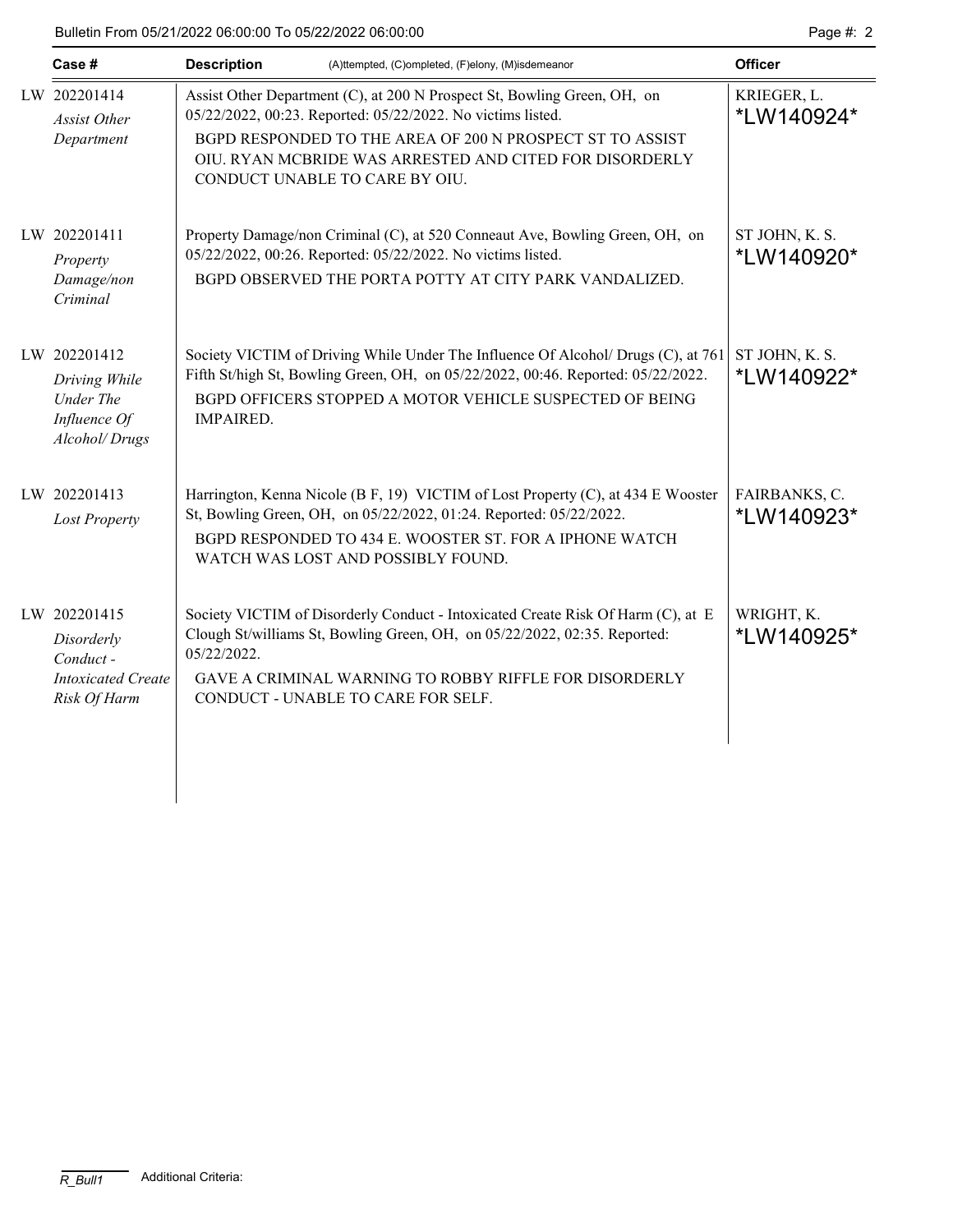| Case #                                                                              | <b>Description</b>                                                                                                                                                                                                                                                                                | (A)ttempted, (C)ompleted, (F)elony, (M)isdemeanor                                                                                                                                                                                 | <b>Officer</b>               |
|-------------------------------------------------------------------------------------|---------------------------------------------------------------------------------------------------------------------------------------------------------------------------------------------------------------------------------------------------------------------------------------------------|-----------------------------------------------------------------------------------------------------------------------------------------------------------------------------------------------------------------------------------|------------------------------|
| LW 202201414<br><b>Assist Other</b><br>Department                                   | Assist Other Department (C), at 200 N Prospect St, Bowling Green, OH, on<br>05/22/2022, 00:23. Reported: 05/22/2022. No victims listed.<br>BGPD RESPONDED TO THE AREA OF 200 N PROSPECT ST TO ASSIST<br>OIU. RYAN MCBRIDE WAS ARRESTED AND CITED FOR DISORDERLY<br>CONDUCT UNABLE TO CARE BY OIU. |                                                                                                                                                                                                                                   | KRIEGER, L.<br>*LW140924*    |
| LW 202201411<br>Property<br>Damage/non<br>Criminal                                  | 05/22/2022, 00:26. Reported: 05/22/2022. No victims listed.                                                                                                                                                                                                                                       | Property Damage/non Criminal (C), at 520 Conneaut Ave, Bowling Green, OH, on<br>BGPD OBSERVED THE PORTA POTTY AT CITY PARK VANDALIZED.                                                                                            | ST JOHN, K. S.<br>*LW140920* |
| LW 202201412<br>Driving While<br><b>Under The</b><br>Influence Of<br>Alcohol/Drugs  | <b>IMPAIRED.</b>                                                                                                                                                                                                                                                                                  | Society VICTIM of Driving While Under The Influence Of Alcohol/ Drugs (C), at 761<br>Fifth St/high St, Bowling Green, OH, on 05/22/2022, 00:46. Reported: 05/22/2022.<br>BGPD OFFICERS STOPPED A MOTOR VEHICLE SUSPECTED OF BEING | ST JOHN, K. S.<br>*LW140922* |
| LW 202201413<br><b>Lost Property</b>                                                | WATCH WAS LOST AND POSSIBLY FOUND.                                                                                                                                                                                                                                                                | Harrington, Kenna Nicole (B F, 19) VICTIM of Lost Property (C), at 434 E Wooster<br>St, Bowling Green, OH, on 05/22/2022, 01:24. Reported: 05/22/2022.<br>BGPD RESPONDED TO 434 E. WOOSTER ST. FOR A IPHONE WATCH                 | FAIRBANKS, C.<br>*LW140923*  |
| LW 202201415<br>Disorderly<br>Conduct-<br><b>Intoxicated Create</b><br>Risk Of Harm | 05/22/2022.<br>CONDUCT - UNABLE TO CARE FOR SELF.                                                                                                                                                                                                                                                 | Society VICTIM of Disorderly Conduct - Intoxicated Create Risk Of Harm (C), at E<br>Clough St/williams St, Bowling Green, OH, on 05/22/2022, 02:35. Reported:<br><b>GAVE A CRIMINAL WARNING TO ROBBY RIFFLE FOR DISORDERLY</b>    | WRIGHT, K.<br>*LW140925*     |